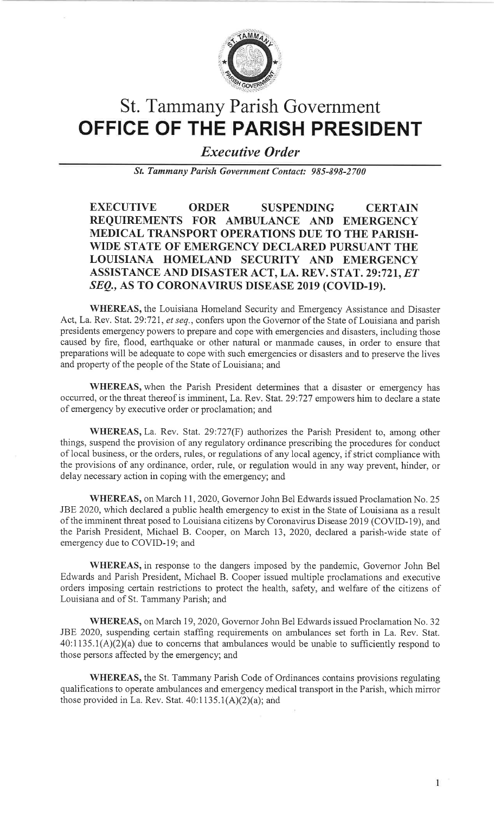

# St. Tammany Parish GovernmentOFFICE OF THE PARISH PRESIDENT

Executive Order

St. Tummany Purish Government Contact: 985-898-2700

EXECUTIVE ORDER SUSPENDING CERTAIN REQUIREMENTS FOR AMBULANCE AND EMERGENCY MEDICAL TRANSPORT OPERATIONS DUE TO THE PARISH. WIDE STATE OF EMERGENCY DECLARED PURSUANT THELOUISIANA HOMELAND SECURITY AND EMERGENCY ASSISTANCE AND DISASTER ACT, LA. REV. STAT. 29:721, *ET* SEQ., AS TO CORONAVIRUS DISEASE 2019 (COVID-19).

WHEREAS, the Louisiana Homeland Security and Emergency Assistance and DisasterAct, La. Rev. Stat. 29:721, et seq., confers upon the Governor of the State of Louisiana and parish presidents emergency powers to prepare and cope with emergencies and disasters, including those caused by fire, flood, earthquake or other natural or manmade causes, in order to ensure that preparations will be adequate to cope with such emergencies or disasters and to preserve the livesand property of the people of the State of Louisiana; and

WHEREAS, when the Parish President determines that a disaster or emergency has occurred, or the threat thereof is imminent, La. Rev. Stat.29:727 empowers him to declare a stateof emergency by executive order or proclamation; and

WHEREAS, La. Rev. Stat. 29:727(F) authorizes the Parish President to, among otherthings, suspend the provision of any regulatory ordinance prescribing the procedures for conduct of local business, or the orders, rules, or regulations of any local agency, if strict compliance with the provisions of any ordinance, order, rule, or regulation would in any way prevent, hinder, ordelay necessary action in coping with the emergency; and

WHEREAS, on March 11, 2020, Governor John Bel Edwards issued Proclamation No. 25 JBE 2020, which declared a public health emergency to exist in the State of Louisiana as a result of the imminent threat posed to Louisiana citizens by Coronavirus Disease20Ig (COVID-19), and the Parish President, Michael B. Cooper, on March 13, 2020, declared a parish-wide state ofemergency due to COVID-l9; and

WHEREAS, in response to the dangers imposed by the pandemic, Governor John Bel Edwards and Parish President, Michael B. Cooper issued multiple proclamations and executive orders imposing certain restrictions to protect the health, safety, and welfare of the citizens ofLouisiana and of St. Tammany Parish; and

WHEREAS, on March 19, 2020, Governor John Bel Edwards issued Proclamation No. 32 JBE 2020, suspending certain staffing requirements on ambulances set forth in La. Rev. Stat. 40:1135.1(A)(2)(a) due to concerns that ambulances would be unable to sufficiently respond tothose persons affected by the emergency; and

WHEREAS, the St. Tammany Parish Code of Ordinances contains provisions regulatingqualifications to operate ambulances and emergency medical transport in the Parish, which mirror those provided in La. Rev. Stat.  $40:1135.1(A)(2)(a)$ ; and

1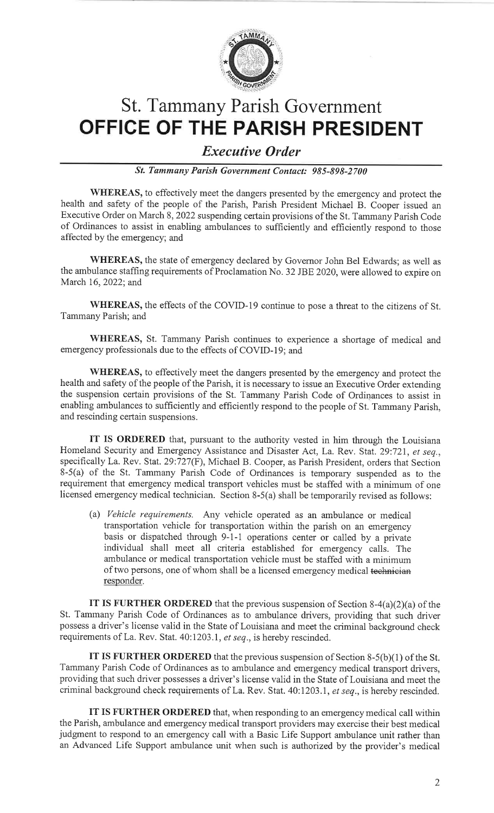

# St. Tammany Parish GovernmentOFFICE OF THE PARISH PRESIDENT

#### Executive Order

St. Tammany Parish Government Contact: 985-898-2700

WHEREAS, to effectively meet the dangers presented by the emergency and protect the health and safety of the people of the Parish, Parish President Michael B. Cooper issued an Executive Order on March 8,2022 suspending certain provisions of the St. Tammany Parish Code of Ordinances to assist in enabling ambulances to sufficiently and efficiently respond to thoseaffected by the emergency; and

WHEREAS, the state of emergency declared by Governor John Bel Edwards; as well asthe ambulance staffing requirements of Proclamation No. 32 JBE 2020, were allowed to expire on March 16, 2022; and

WHEREAS, the effects of the COVID-19 continue to pose a threat to the citizens of St. Tammany Parish; and

WHEREAS, St. Tammany Parish continues to experience a shortage of medical andemergency professionals due to the effects of COVID-19; and

WHEREAS, to effectively meet the dangers presented by the emergency and protect thehealth and safety of the people of the Parish, it is necessary to issue an Executive Order extending the suspension certain provisions of the St. Tammany Parish Code of Ordinances to assist in enabling ambulances to sufficiently and efficiently respond to the people of St. Tammany Parish,and rescinding certain suspensions.

IT IS ORDERED that, pursuant to the authority vested in him through the LouisianaHomeland Security and Emergency Assistance and Disaster Act, La. Rev. Stat. 29:721, et seq. specifically La. Rev. Stat.29:727(F), Michael B. Cooper, as Parish President, orders that Section 8-5(a) of the St. Tammany Parish Code of Ordinances is temporary suspended as to the requirement that emergency medical transport vehicles must be staffed with a minimum of onelicensed emergency medical technician. Section 8-5(a) shall be temporarily revised as follows:

(a) Vehicle requirements. Any vehicle operated as an ambulance or medical transportation vehicle for transportation within the parish on an emergency basis or dispatched through 9-1-1 operations center or called by a private individual shall meet all criteria established for emergency calls. The ambulance or medical transportation vehicle must be staffed with a minimumof two persons, one of whom shall be a licensed emergency medical <del>technician</del> responder.

IT IS FURTHER ORDERED that the previous suspension of Section  $8-4(a)(2)(a)$  of the St. Tammany Parish Code of Ordinances as to ambulance drivers, providing that such driver possess a driver's license valid in the State of Louisiana and meet the criminal background checkrequirements of La. Rev. Stat. 40:1203.1, et seq., is hereby rescinded.

IT IS FURTHER ORDERED that the previous suspension of Section 8-5(b)(1) of the St. Tammany Parish Code of Ordinances as to ambulance and emergency medical transport drivers, providing that such driver possesses a driver's license valid in the State of Louisiana and meet thecriminal background check requirements of La. Rev. Stat. 40:1203.1, *et seq*., is hereby rescinded.

IT IS FURTHER ORDERED that, when responding to an emergency medical call within the Parish, ambulance and emergency medical transport providers may exercise their best medical judgment to respond to an emergency call with a Basic Life Support ambulance unit rather thanan Advanced Life Support ambulance unit when such is authorized by the provider's medical